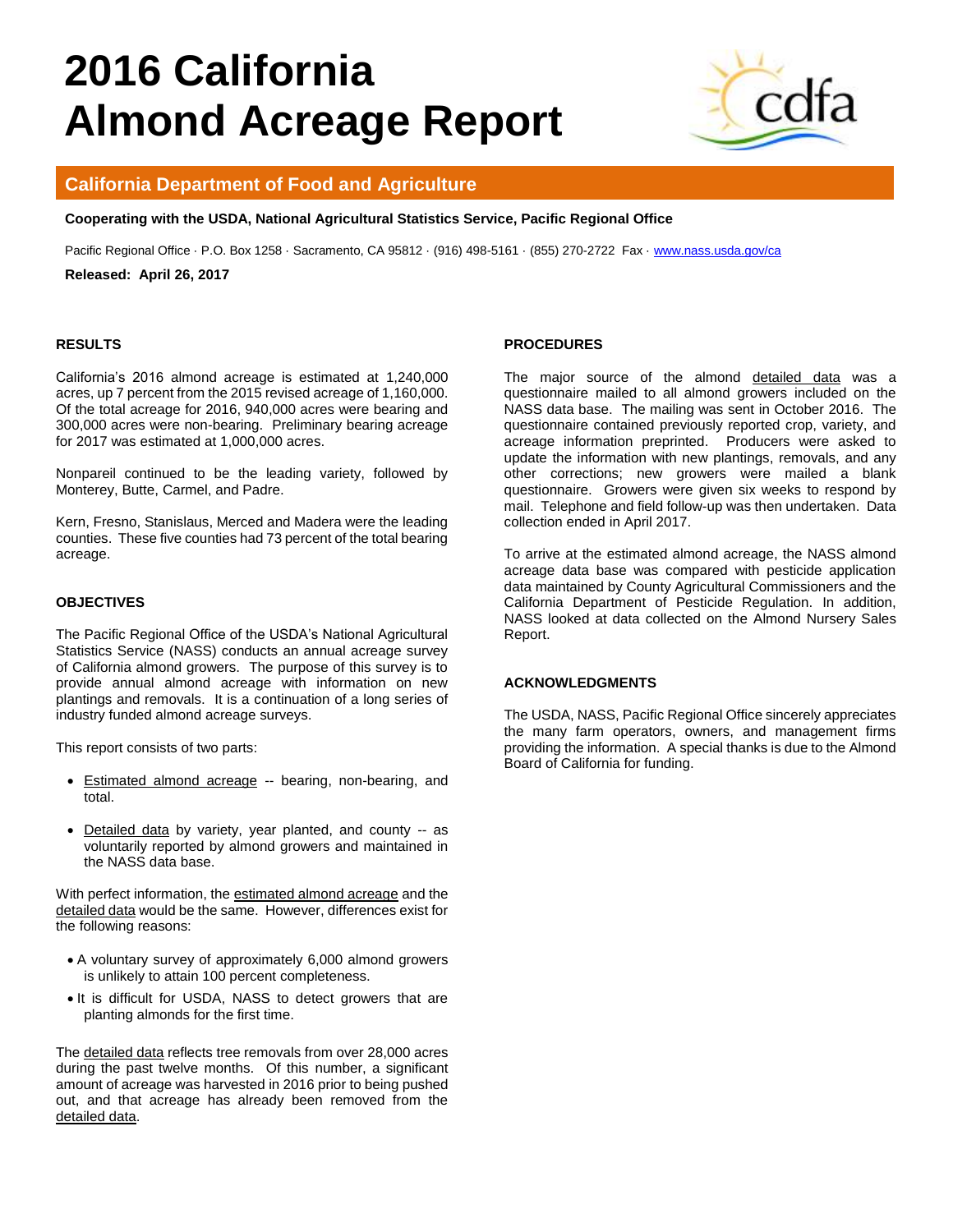# **2016 California Almond Acreage Report**



# **California Department of Food and Agriculture**

**Cooperating with the USDA, National Agricultural Statistics Service, Pacific Regional Office**

Pacific Regional Office · P.O. Box 1258 · Sacramento, CA 95812 · (916) 498-5161 · (855) 270-2722 Fax · [www.nass.usda.gov/ca](http://www.nass.usda.gov/ca)

**Released: April 26, 2017** 

#### **RESULTS**

California's 2016 almond acreage is estimated at 1,240,000 acres, up 7 percent from the 2015 revised acreage of 1,160,000. Of the total acreage for 2016, 940,000 acres were bearing and 300,000 acres were non-bearing. Preliminary bearing acreage for 2017 was estimated at 1,000,000 acres.

Nonpareil continued to be the leading variety, followed by Monterey, Butte, Carmel, and Padre.

Kern, Fresno, Stanislaus, Merced and Madera were the leading counties. These five counties had 73 percent of the total bearing acreage.

#### **OBJECTIVES**

The Pacific Regional Office of the USDA's National Agricultural Statistics Service (NASS) conducts an annual acreage survey of California almond growers. The purpose of this survey is to provide annual almond acreage with information on new plantings and removals. It is a continuation of a long series of industry funded almond acreage surveys.

This report consists of two parts:

- Estimated almond acreage -- bearing, non-bearing, and total.
- Detailed data by variety, year planted, and county -- as voluntarily reported by almond growers and maintained in the NASS data base.

With perfect information, the estimated almond acreage and the detailed data would be the same. However, differences exist for the following reasons:

- A voluntary survey of approximately 6,000 almond growers is unlikely to attain 100 percent completeness.
- It is difficult for USDA, NASS to detect growers that are planting almonds for the first time.

The detailed data reflects tree removals from over 28,000 acres during the past twelve months. Of this number, a significant amount of acreage was harvested in 2016 prior to being pushed out, and that acreage has already been removed from the detailed data.

#### **PROCEDURES**

The major source of the almond detailed data was a questionnaire mailed to all almond growers included on the NASS data base. The mailing was sent in October 2016. The questionnaire contained previously reported crop, variety, and acreage information preprinted. Producers were asked to update the information with new plantings, removals, and any other corrections; new growers were mailed a blank questionnaire. Growers were given six weeks to respond by mail. Telephone and field follow-up was then undertaken. Data collection ended in April 2017.

To arrive at the estimated almond acreage, the NASS almond acreage data base was compared with pesticide application data maintained by County Agricultural Commissioners and the California Department of Pesticide Regulation. In addition, NASS looked at data collected on the Almond Nursery Sales Report.

#### **ACKNOWLEDGMENTS**

The USDA, NASS, Pacific Regional Office sincerely appreciates the many farm operators, owners, and management firms providing the information. A special thanks is due to the Almond Board of California for funding.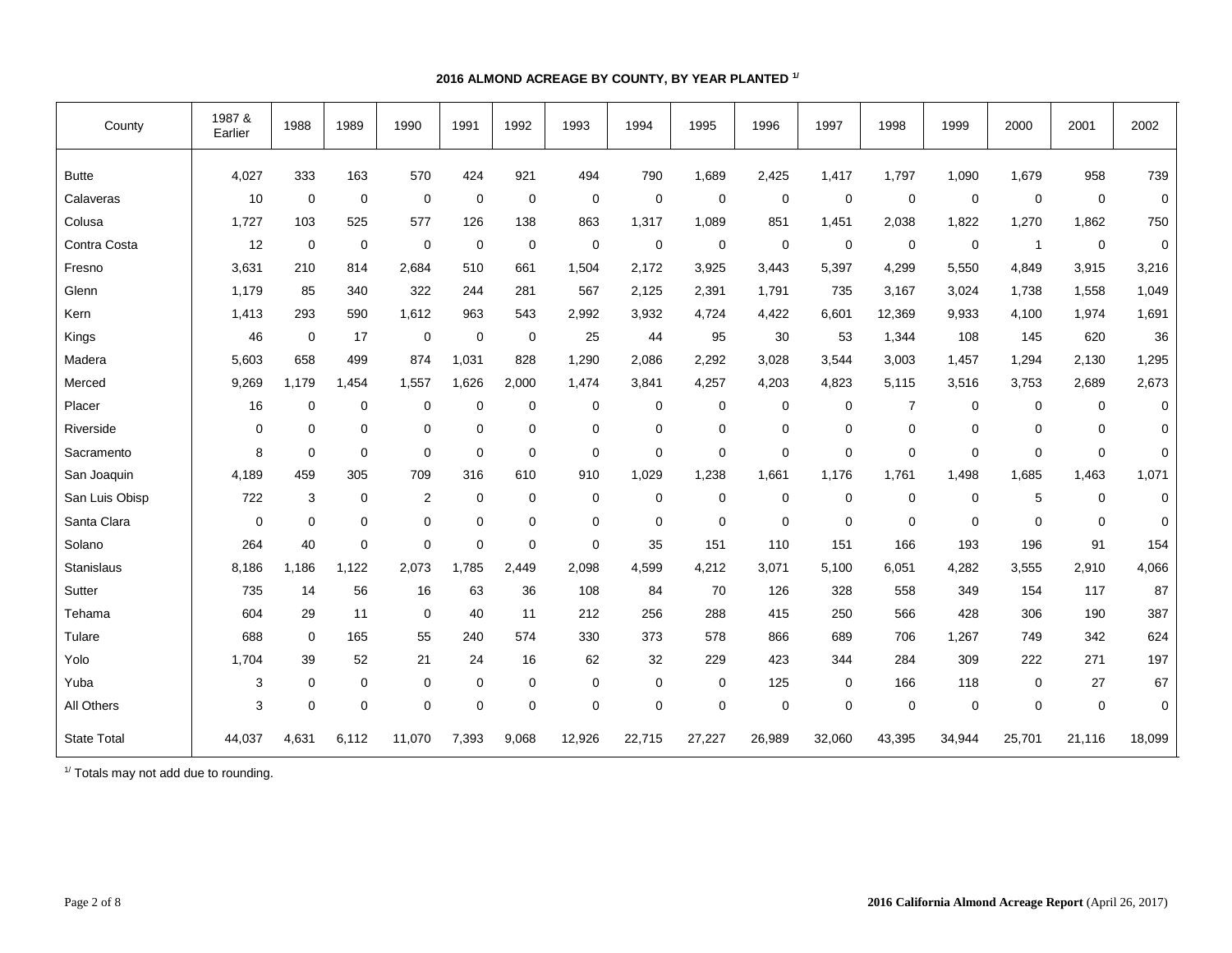## **2016 ALMOND ACREAGE BY COUNTY, BY YEAR PLANTED 1/**

| County             | 1987 &<br>Earlier | 1988        | 1989        | 1990           | 1991        | 1992        | 1993        | 1994        | 1995        | 1996        | 1997   | 1998           | 1999        | 2000        | 2001        | 2002        |
|--------------------|-------------------|-------------|-------------|----------------|-------------|-------------|-------------|-------------|-------------|-------------|--------|----------------|-------------|-------------|-------------|-------------|
| <b>Butte</b>       | 4,027             | 333         | 163         | 570            | 424         | 921         | 494         | 790         | 1,689       | 2,425       | 1,417  | 1,797          | 1,090       | 1,679       | 958         | 739         |
| Calaveras          | 10                | $\mathbf 0$ | $\mathbf 0$ | 0              | $\mathbf 0$ | $\mathbf 0$ | $\mathbf 0$ | $\mathbf 0$ | 0           | 0           | 0      | $\mathbf 0$    | 0           | $\mathbf 0$ | 0           | $\mathbf 0$ |
| Colusa             | 1,727             | 103         | 525         | 577            | 126         | 138         | 863         | 1,317       | 1,089       | 851         | 1,451  | 2,038          | 1,822       | 1,270       | 1,862       | 750         |
| Contra Costa       | 12                | $\mathbf 0$ | $\mathbf 0$ | $\mathbf 0$    | 0           | $\mathbf 0$ | $\pmb{0}$   | $\mathbf 0$ | $\mathbf 0$ | $\mathbf 0$ | 0      | $\mathbf 0$    | 0           | $\mathbf 1$ | 0           | $\mathbf 0$ |
| Fresno             | 3,631             | 210         | 814         | 2,684          | 510         | 661         | 1,504       | 2,172       | 3,925       | 3,443       | 5,397  | 4,299          | 5,550       | 4,849       | 3,915       | 3,216       |
| Glenn              | 1,179             | 85          | 340         | 322            | 244         | 281         | 567         | 2,125       | 2,391       | 1,791       | 735    | 3,167          | 3,024       | 1,738       | 1,558       | 1,049       |
| Kern               | 1,413             | 293         | 590         | 1,612          | 963         | 543         | 2,992       | 3,932       | 4,724       | 4,422       | 6,601  | 12,369         | 9,933       | 4,100       | 1,974       | 1,691       |
| Kings              | 46                | $\mathbf 0$ | 17          | $\mathbf 0$    | $\mathbf 0$ | $\mathbf 0$ | 25          | 44          | 95          | 30          | 53     | 1,344          | 108         | 145         | 620         | 36          |
| Madera             | 5,603             | 658         | 499         | 874            | 1,031       | 828         | 1,290       | 2,086       | 2,292       | 3,028       | 3,544  | 3,003          | 1,457       | 1,294       | 2,130       | 1,295       |
| Merced             | 9,269             | 1,179       | 1,454       | 1,557          | 1,626       | 2,000       | 1,474       | 3,841       | 4,257       | 4,203       | 4,823  | 5,115          | 3,516       | 3,753       | 2,689       | 2,673       |
| Placer             | 16                | $\mathbf 0$ | 0           | 0              | $\mathbf 0$ | 0           | $\mathbf 0$ | 0           | 0           | 0           | 0      | $\overline{7}$ | 0           | 0           | 0           | $\mathbf 0$ |
| Riverside          | $\Omega$          | $\Omega$    | $\mathbf 0$ | $\mathbf 0$    | $\mathbf 0$ | $\mathbf 0$ | $\mathbf 0$ | $\mathbf 0$ | $\mathbf 0$ | $\mathbf 0$ | 0      | $\mathbf 0$    | $\mathbf 0$ | $\Omega$    | 0           | 0           |
| Sacramento         | 8                 | $\mathbf 0$ | $\mathbf 0$ | $\mathbf 0$    | $\mathbf 0$ | $\mathbf 0$ | $\mathbf 0$ | $\mathbf 0$ | $\mathbf 0$ | $\mathbf 0$ | 0      | $\overline{0}$ | $\mathbf 0$ | $\Omega$    | $\mathbf 0$ | 0           |
| San Joaquin        | 4,189             | 459         | 305         | 709            | 316         | 610         | 910         | 1,029       | 1,238       | 1,661       | 1,176  | 1,761          | 1,498       | 1,685       | 1,463       | 1,071       |
| San Luis Obisp     | 722               | 3           | $\mathbf 0$ | $\overline{2}$ | $\mathbf 0$ | $\mathbf 0$ | $\mathbf 0$ | 0           | $\mathbf 0$ | $\mathbf 0$ | 0      | $\mathbf 0$    | $\mathbf 0$ | 5           | $\mathbf 0$ | $\mathbf 0$ |
| Santa Clara        | $\mathbf 0$       | $\mathbf 0$ | $\mathbf 0$ | 0              | $\mathbf 0$ | 0           | $\mathbf 0$ | $\mathbf 0$ | 0           | 0           | 0      | $\mathbf 0$    | 0           | $\mathbf 0$ | 0           | 0           |
| Solano             | 264               | 40          | $\mathbf 0$ | $\mathbf 0$    | $\mathbf 0$ | 0           | $\mathbf 0$ | 35          | 151         | 110         | 151    | 166            | 193         | 196         | 91          | 154         |
| <b>Stanislaus</b>  | 8,186             | 1,186       | 1,122       | 2,073          | 1.785       | 2.449       | 2,098       | 4,599       | 4,212       | 3,071       | 5,100  | 6,051          | 4,282       | 3,555       | 2,910       | 4,066       |
| Sutter             | 735               | 14          | 56          | 16             | 63          | 36          | 108         | 84          | 70          | 126         | 328    | 558            | 349         | 154         | 117         | 87          |
| Tehama             | 604               | 29          | 11          | $\mathbf 0$    | 40          | 11          | 212         | 256         | 288         | 415         | 250    | 566            | 428         | 306         | 190         | 387         |
| Tulare             | 688               | $\mathbf 0$ | 165         | 55             | 240         | 574         | 330         | 373         | 578         | 866         | 689    | 706            | 1,267       | 749         | 342         | 624         |
| Yolo               | 1,704             | 39          | 52          | 21             | 24          | 16          | 62          | 32          | 229         | 423         | 344    | 284            | 309         | 222         | 271         | 197         |
| Yuba               | 3                 | 0           | $\mathbf 0$ | 0              | 0           | 0           | $\mathbf 0$ | 0           | $\mathbf 0$ | 125         | 0      | 166            | 118         | $\mathbf 0$ | 27          | 67          |
| All Others         | 3                 | $\mathbf 0$ | $\mathbf 0$ | $\mathbf 0$    | $\mathbf 0$ | $\mathbf 0$ | $\mathbf 0$ | $\mathbf 0$ | $\mathbf 0$ | $\mathbf 0$ | 0      | $\overline{0}$ | 0           | $\mathbf 0$ | 0           | $\mathbf 0$ |
| <b>State Total</b> | 44,037            | 4.631       | 6,112       | 11,070         | 7,393       | 9,068       | 12,926      | 22,715      | 27,227      | 26,989      | 32,060 | 43,395         | 34,944      | 25,701      | 21,116      | 18,099      |

<sup>1/</sup> Totals may not add due to rounding.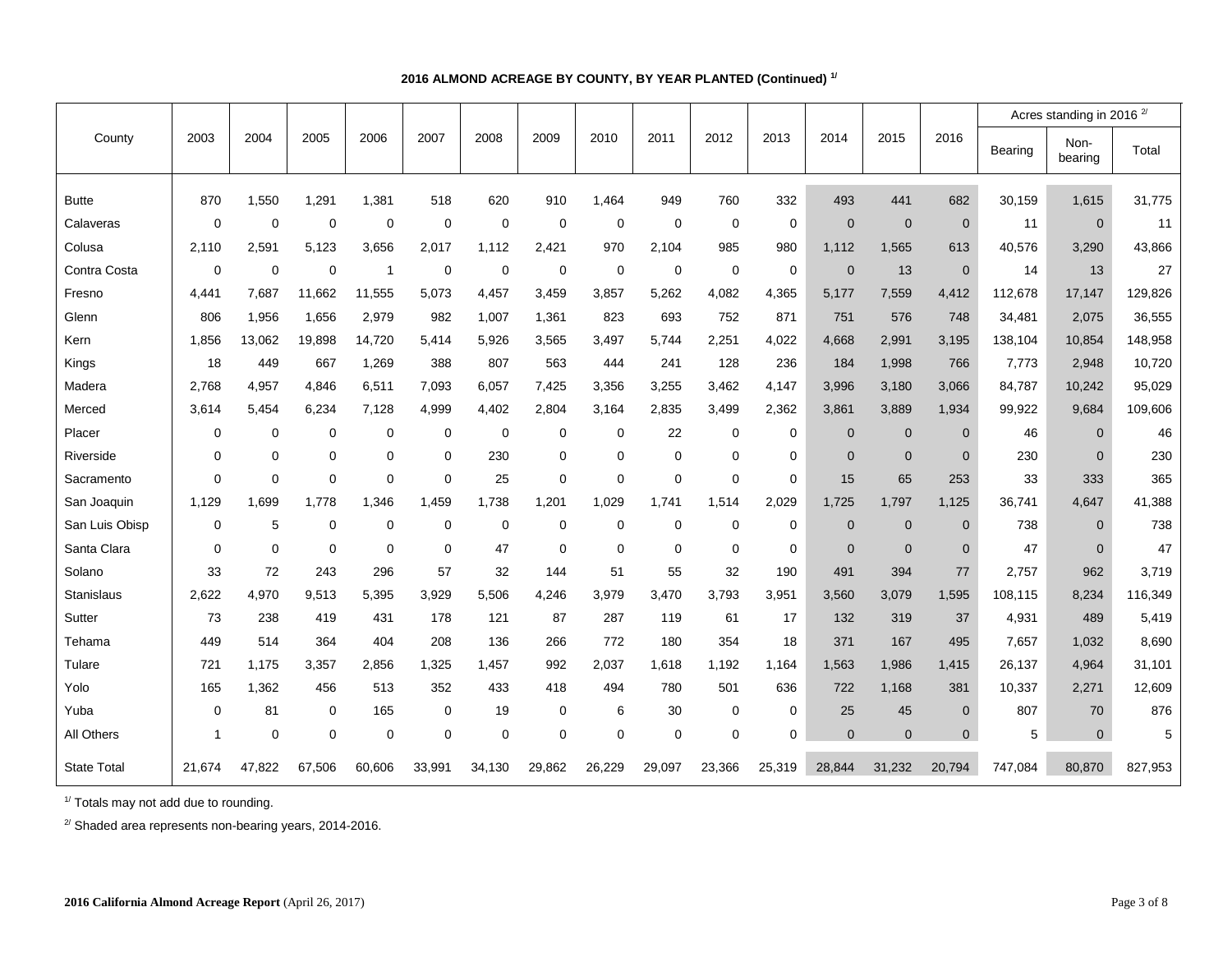## **2016 ALMOND ACREAGE BY COUNTY, BY YEAR PLANTED (Continued) 1/**

|                    |             |             |             |                |             |             |             |                |             |             |             |                |                |                |         | Acres standing in 2016 <sup>2/</sup> |         |  |
|--------------------|-------------|-------------|-------------|----------------|-------------|-------------|-------------|----------------|-------------|-------------|-------------|----------------|----------------|----------------|---------|--------------------------------------|---------|--|
| County             | 2003        | 2004        | 2005        | 2006           | 2007        | 2008        | 2009        | 2010           | 2011        | 2012        | 2013        | 2014           | 2015           | 2016           | Bearing | Non-<br>bearing                      | Total   |  |
| <b>Butte</b>       | 870         | 1,550       | 1,291       | 1,381          | 518         | 620         | 910         | 1.464          | 949         | 760         | 332         | 493            | 441            | 682            | 30,159  | 1,615                                | 31,775  |  |
| Calaveras          | $\mathbf 0$ | 0           | $\mathbf 0$ | $\mathbf 0$    | $\mathbf 0$ | $\mathbf 0$ | $\mathbf 0$ | $\mathbf 0$    | $\mathbf 0$ | $\mathbf 0$ | $\mathbf 0$ | $\overline{0}$ | $\mathbf{0}$   | $\mathbf 0$    | 11      | $\mathbf{0}$                         | 11      |  |
| Colusa             | 2,110       | 2,591       | 5,123       | 3,656          | 2,017       | 1,112       | 2,421       | 970            | 2,104       | 985         | 980         | 1,112          | 1,565          | 613            | 40,576  | 3,290                                | 43,866  |  |
| Contra Costa       | $\mathbf 0$ | $\mathbf 0$ | $\mathbf 0$ | $\overline{1}$ | $\mathbf 0$ | $\mathbf 0$ | 0           | $\overline{0}$ | $\mathbf 0$ | $\mathbf 0$ | $\mathbf 0$ | $\overline{0}$ | 13             | $\mathbf 0$    | 14      | 13                                   | 27      |  |
| Fresno             | 4,441       | 7,687       | 11,662      | 11,555         | 5,073       | 4,457       | 3,459       | 3,857          | 5,262       | 4,082       | 4,365       | 5,177          | 7,559          | 4,412          | 112,678 | 17,147                               | 129,826 |  |
| Glenn              | 806         | 1,956       | 1,656       | 2,979          | 982         | 1,007       | 1,361       | 823            | 693         | 752         | 871         | 751            | 576            | 748            | 34,481  | 2,075                                | 36,555  |  |
| Kern               | 1,856       | 13,062      | 19,898      | 14,720         | 5.414       | 5,926       | 3,565       | 3,497          | 5,744       | 2,251       | 4,022       | 4,668          | 2,991          | 3,195          | 138,104 | 10,854                               | 148,958 |  |
| Kings              | 18          | 449         | 667         | 1,269          | 388         | 807         | 563         | 444            | 241         | 128         | 236         | 184            | 1,998          | 766            | 7,773   | 2,948                                | 10,720  |  |
| Madera             | 2,768       | 4,957       | 4,846       | 6,511          | 7,093       | 6,057       | 7,425       | 3,356          | 3,255       | 3,462       | 4,147       | 3,996          | 3,180          | 3,066          | 84,787  | 10,242                               | 95,029  |  |
| Merced             | 3,614       | 5,454       | 6,234       | 7,128          | 4,999       | 4,402       | 2,804       | 3,164          | 2,835       | 3,499       | 2,362       | 3,861          | 3,889          | 1,934          | 99,922  | 9,684                                | 109,606 |  |
| Placer             | 0           | 0           | $\mathbf 0$ | 0              | 0           | $\mathbf 0$ | $\mathbf 0$ | $\mathbf 0$    | 22          | 0           | $\mathbf 0$ | $\mathbf 0$    | $\mathbf 0$    | $\mathbf 0$    | 46      | $\mathbf{0}$                         | 46      |  |
| Riverside          | $\mathbf 0$ | 0           | $\mathbf 0$ | $\mathbf 0$    | 0           | 230         | $\mathbf 0$ | 0              | $\mathbf 0$ | $\mathbf 0$ | $\mathbf 0$ | $\overline{0}$ | $\overline{0}$ | $\overline{0}$ | 230     | $\Omega$                             | 230     |  |
| Sacramento         | $\mathbf 0$ | 0           | $\mathbf 0$ | $\mathbf 0$    | 0           | 25          | $\mathbf 0$ | $\Omega$       | $\mathbf 0$ | $\mathbf 0$ | $\mathbf 0$ | 15             | 65             | 253            | 33      | 333                                  | 365     |  |
| San Joaquin        | 1,129       | 1,699       | 1,778       | 1,346          | 1,459       | 1,738       | 1,201       | 1,029          | 1,741       | 1,514       | 2,029       | 1,725          | 1,797          | 1,125          | 36,741  | 4,647                                | 41,388  |  |
| San Luis Obisp     | $\mathbf 0$ | 5           | $\mathbf 0$ | $\mathbf 0$    | 0           | $\mathbf 0$ | $\mathbf 0$ | $\mathbf 0$    | $\mathbf 0$ | $\mathbf 0$ | $\mathbf 0$ | $\overline{0}$ | $\mathbf{0}$   | $\mathbf 0$    | 738     | $\mathbf{0}$                         | 738     |  |
| Santa Clara        | $\mathbf 0$ | 0           | $\mathbf 0$ | $\mathbf 0$    | 0           | 47          | $\mathbf 0$ | $\mathbf 0$    | $\mathbf 0$ | $\mathbf 0$ | $\mathbf 0$ | $\overline{0}$ | $\mathbf{0}$   | $\mathbf 0$    | 47      | $\overline{0}$                       | 47      |  |
| Solano             | 33          | 72          | 243         | 296            | 57          | 32          | 144         | 51             | 55          | 32          | 190         | 491            | 394            | 77             | 2,757   | 962                                  | 3,719   |  |
| Stanislaus         | 2,622       | 4,970       | 9,513       | 5,395          | 3,929       | 5,506       | 4,246       | 3,979          | 3,470       | 3,793       | 3,951       | 3,560          | 3,079          | 1,595          | 108,115 | 8,234                                | 116,349 |  |
| Sutter             | 73          | 238         | 419         | 431            | 178         | 121         | 87          | 287            | 119         | 61          | 17          | 132            | 319            | 37             | 4,931   | 489                                  | 5,419   |  |
| Tehama             | 449         | 514         | 364         | 404            | 208         | 136         | 266         | 772            | 180         | 354         | 18          | 371            | 167            | 495            | 7,657   | 1,032                                | 8,690   |  |
| Tulare             | 721         | 1,175       | 3,357       | 2,856          | 1,325       | 1,457       | 992         | 2,037          | 1,618       | 1,192       | 1,164       | 1,563          | 1,986          | 1,415          | 26,137  | 4,964                                | 31,101  |  |
| Yolo               | 165         | 1,362       | 456         | 513            | 352         | 433         | 418         | 494            | 780         | 501         | 636         | 722            | 1,168          | 381            | 10,337  | 2,271                                | 12,609  |  |
| Yuba               | $\mathbf 0$ | 81          | 0           | 165            | 0           | 19          | 0           | 6              | 30          | 0           | 0           | 25             | 45             | $\mathbf 0$    | 807     | 70                                   | 876     |  |
| All Others         | 1           | 0           | $\mathbf 0$ | $\mathbf 0$    | 0           | $\mathbf 0$ | $\mathbf 0$ | $\mathbf 0$    | $\mathbf 0$ | $\mathbf 0$ | $\mathbf 0$ | $\overline{0}$ | $\mathbf{0}$   | $\mathbf 0$    | 5       | $\mathbf 0$                          | 5       |  |
| <b>State Total</b> | 21,674      | 47,822      | 67,506      | 60,606         | 33,991      | 34,130      | 29,862      | 26,229         | 29,097      | 23,366      | 25,319      | 28,844         | 31,232         | 20,794         | 747,084 | 80,870                               | 827,953 |  |

<sup>1/</sup> Totals may not add due to rounding.

 $2^{2}$  Shaded area represents non-bearing years, 2014-2016.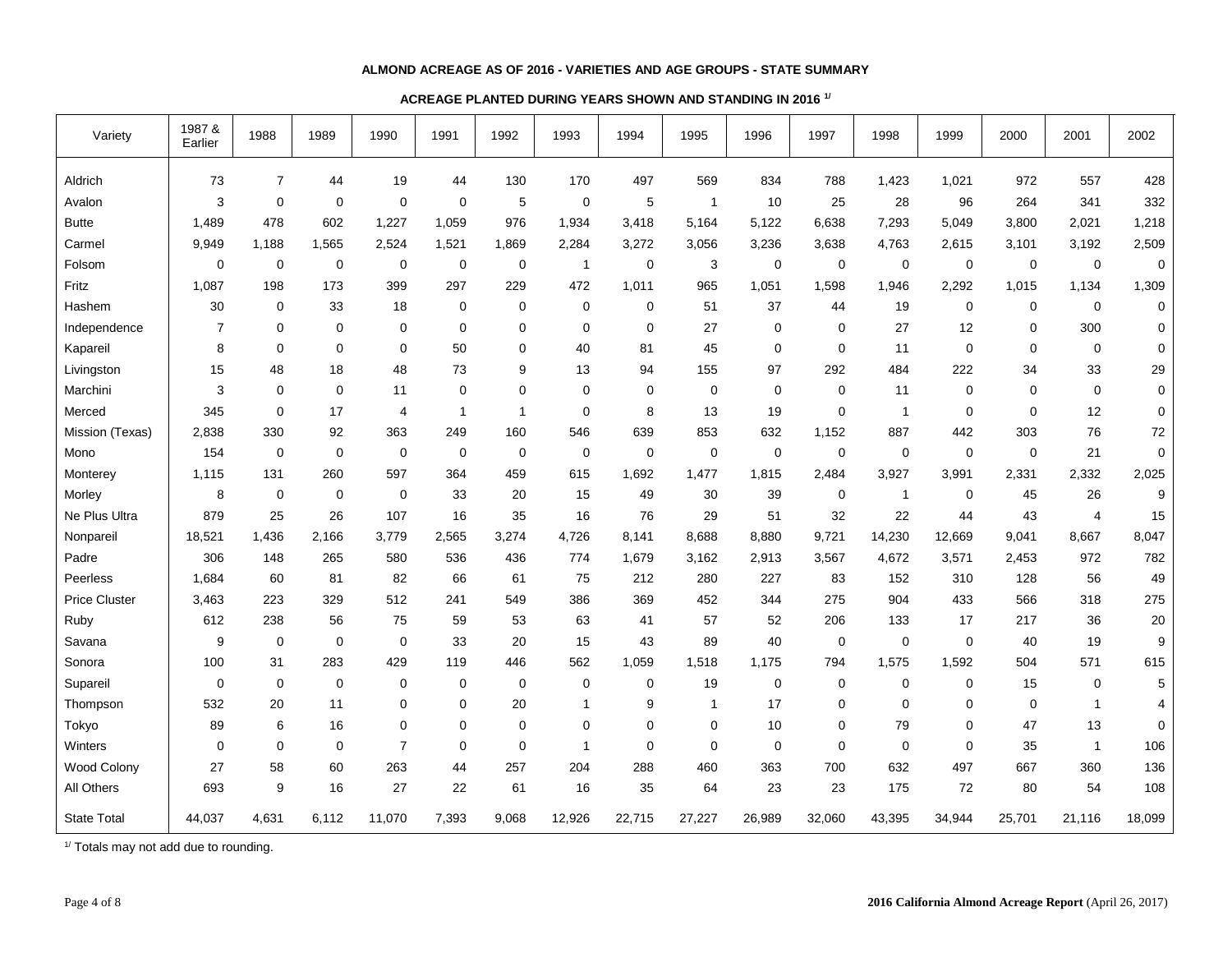### **ALMOND ACREAGE AS OF 2016 - VARIETIES AND AGE GROUPS - STATE SUMMARY**

## **ACREAGE PLANTED DURING YEARS SHOWN AND STANDING IN 2016 1/**

| Variety              | 1987 &<br>Earlier | 1988           | 1989        | 1990           | 1991        | 1992        | 1993         | 1994        | 1995         | 1996        | 1997        | 1998         | 1999        | 2000        | 2001           | 2002      |
|----------------------|-------------------|----------------|-------------|----------------|-------------|-------------|--------------|-------------|--------------|-------------|-------------|--------------|-------------|-------------|----------------|-----------|
| Aldrich              | 73                | $\overline{7}$ | 44          | 19             | 44          | 130         | 170          | 497         | 569          | 834         | 788         | 1,423        | 1,021       | 972         | 557            | 428       |
| Avalon               | 3                 | $\mathbf 0$    | 0           | 0              | $\mathbf 0$ | 5           | $\mathbf 0$  | 5           | $\mathbf{1}$ | $10$        | 25          | 28           | 96          | 264         | 341            | 332       |
| <b>Butte</b>         | 1,489             | 478            | 602         | 1,227          | 1,059       | 976         | 1,934        | 3,418       | 5,164        | 5,122       | 6,638       | 7,293        | 5,049       | 3,800       | 2,021          | 1,218     |
| Carmel               | 9,949             | 1,188          | 1,565       | 2,524          | 1,521       | 1,869       | 2,284        | 3,272       | 3,056        | 3,236       | 3,638       | 4,763        | 2,615       | 3,101       | 3,192          | 2,509     |
| Folsom               | 0                 | 0              | 0           | 0              | $\mathbf 0$ | 0           | $\mathbf{1}$ | $\mathbf 0$ | 3            | $\mathbf 0$ | 0           | $\mathbf 0$  | $\mathbf 0$ | 0           | $\mathbf 0$    | 0         |
| Fritz                | 1,087             | 198            | 173         | 399            | 297         | 229         | 472          | 1,011       | 965          | 1,051       | 1,598       | 1,946        | 2,292       | 1,015       | 1,134          | 1,309     |
| Hashem               | 30                | $\pmb{0}$      | 33          | 18             | $\mathbf 0$ | 0           | $\mathbf 0$  | 0           | 51           | 37          | 44          | 19           | 0           | $\mathbf 0$ | $\mathbf 0$    | $\pmb{0}$ |
| Independence         | $\overline{7}$    | $\mathbf 0$    | $\mathbf 0$ | 0              | $\mathbf 0$ | 0           | $\mathbf 0$  | $\mathbf 0$ | 27           | 0           | 0           | 27           | 12          | 0           | 300            | 0         |
| Kapareil             | 8                 | $\mathbf 0$    | $\mathbf 0$ | $\mathbf 0$    | 50          | 0           | 40           | 81          | 45           | $\mathbf 0$ | $\mathbf 0$ | 11           | $\mathbf 0$ | $\mathbf 0$ | 0              | 0         |
| Livingston           | 15                | 48             | 18          | 48             | 73          | 9           | 13           | 94          | 155          | 97          | 292         | 484          | 222         | 34          | 33             | 29        |
| Marchini             | 3                 | $\mathbf 0$    | $\mathbf 0$ | 11             | $\mathbf 0$ | 0           | $\mathbf 0$  | $\mathbf 0$ | 0            | $\mathbf 0$ | $\mathbf 0$ | 11           | $\mathbf 0$ | $\mathbf 0$ | $\mathbf 0$    | 0         |
| Merced               | 345               | $\mathbf 0$    | 17          | 4              | 1           | 1           | $\Omega$     | 8           | 13           | 19          | $\mathbf 0$ | $\mathbf{1}$ | $\mathbf 0$ | $\Omega$    | 12             | 0         |
| Mission (Texas)      | 2,838             | 330            | 92          | 363            | 249         | 160         | 546          | 639         | 853          | 632         | 1,152       | 887          | 442         | 303         | 76             | 72        |
| Mono                 | 154               | 0              | 0           | $\mathbf 0$    | $\mathbf 0$ | 0           | $\mathbf 0$  | $\mathbf 0$ | $\pmb{0}$    | $\pmb{0}$   | $\mathbf 0$ | $\mathbf 0$  | $\mathbf 0$ | $\mathbf 0$ | 21             | $\pmb{0}$ |
| Monterey             | 1,115             | 131            | 260         | 597            | 364         | 459         | 615          | 1,692       | 1,477        | 1,815       | 2,484       | 3,927        | 3,991       | 2,331       | 2,332          | 2,025     |
| Morley               | 8                 | 0              | 0           | $\mathbf 0$    | 33          | 20          | 15           | 49          | 30           | 39          | 0           | $\mathbf{1}$ | $\mathbf 0$ | 45          | 26             | 9         |
| Ne Plus Ultra        | 879               | 25             | 26          | 107            | 16          | 35          | 16           | 76          | 29           | 51          | 32          | 22           | 44          | 43          | 4              | 15        |
| Nonpareil            | 18,521            | 1,436          | 2,166       | 3,779          | 2,565       | 3,274       | 4,726        | 8,141       | 8,688        | 8,880       | 9,721       | 14,230       | 12,669      | 9,041       | 8,667          | 8,047     |
| Padre                | 306               | 148            | 265         | 580            | 536         | 436         | 774          | 1,679       | 3,162        | 2,913       | 3,567       | 4,672        | 3,571       | 2,453       | 972            | 782       |
| Peerless             | 1,684             | 60             | 81          | 82             | 66          | 61          | 75           | 212         | 280          | 227         | 83          | 152          | 310         | 128         | 56             | 49        |
| <b>Price Cluster</b> | 3,463             | 223            | 329         | 512            | 241         | 549         | 386          | 369         | 452          | 344         | 275         | 904          | 433         | 566         | 318            | 275       |
| Ruby                 | 612               | 238            | 56          | 75             | 59          | 53          | 63           | 41          | 57           | 52          | 206         | 133          | 17          | 217         | 36             | $20\,$    |
| Savana               | $\boldsymbol{9}$  | $\mathbf 0$    | $\mathbf 0$ | $\mathbf 0$    | 33          | 20          | 15           | 43          | 89           | 40          | $\mathbf 0$ | $\mathbf 0$  | $\mathbf 0$ | 40          | 19             | 9         |
| Sonora               | 100               | 31             | 283         | 429            | 119         | 446         | 562          | 1,059       | 1,518        | 1,175       | 794         | 1,575        | 1,592       | 504         | 571            | 615       |
| Supareil             | 0                 | $\mathbf 0$    | $\mathbf 0$ | 0              | 0           | $\mathbf 0$ | $\mathbf 0$  | $\mathbf 0$ | 19           | $\mathbf 0$ | 0           | $\mathbf 0$  | 0           | 15          | $\mathbf 0$    | 5         |
| Thompson             | 532               | 20             | 11          | 0              | 0           | 20          | $\mathbf{1}$ | 9           | $\mathbf{1}$ | 17          | 0           | 0            | $\Omega$    | 0           | $\overline{1}$ | 4         |
| Tokyo                | 89                | 6              | 16          | $\mathbf 0$    | $\mathbf 0$ | 0           | $\mathbf 0$  | $\mathbf 0$ | $\mathbf 0$  | $10$        | 0           | 79           | $\mathbf 0$ | 47          | 13             | 0         |
| Winters              | $\mathbf 0$       | $\mathbf 0$    | $\mathbf 0$ | $\overline{7}$ | $\mathbf 0$ | $\mathbf 0$ | $\mathbf{1}$ | $\mathbf 0$ | $\mathbf 0$  | $\pmb{0}$   | 0           | $\mathbf 0$  | $\mathbf 0$ | 35          | $\overline{1}$ | 106       |
| Wood Colony          | 27                | 58             | 60          | 263            | 44          | 257         | 204          | 288         | 460          | 363         | 700         | 632          | 497         | 667         | 360            | 136       |
| All Others           | 693               | 9              | 16          | 27             | 22          | 61          | 16           | 35          | 64           | 23          | 23          | 175          | 72          | 80          | 54             | 108       |
| <b>State Total</b>   | 44,037            | 4,631          | 6,112       | 11,070         | 7,393       | 9,068       | 12,926       | 22,715      | 27,227       | 26,989      | 32,060      | 43,395       | 34,944      | 25,701      | 21,116         | 18,099    |

<sup>1/</sup> Totals may not add due to rounding.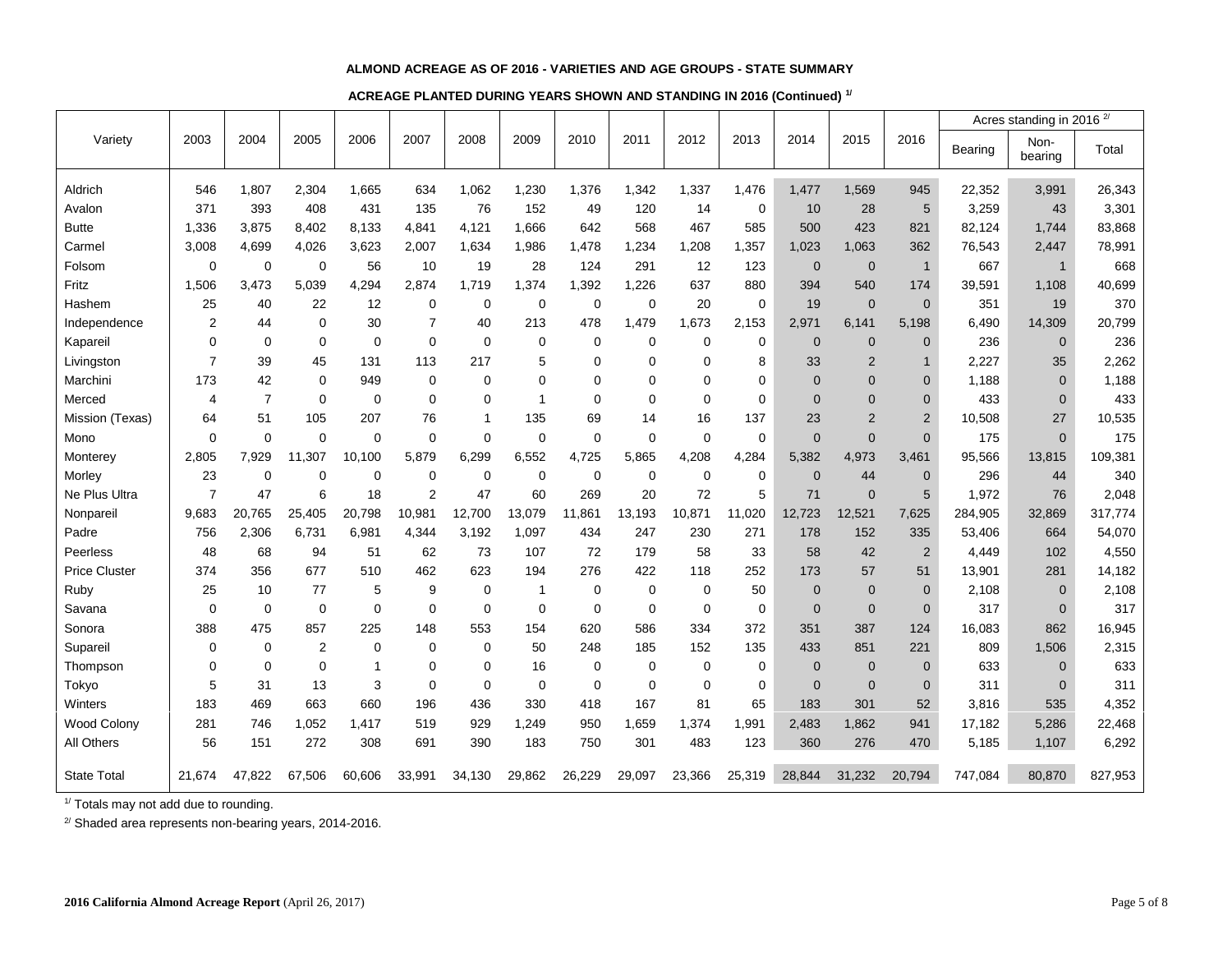#### **ALMOND ACREAGE AS OF 2016 - VARIETIES AND AGE GROUPS - STATE SUMMARY**

## **ACREAGE PLANTED DURING YEARS SHOWN AND STANDING IN 2016 (Continued) 1/**

|                      |                |                |                |              |                |             |              |             |             |             |             |                |                |                |         | Acres standing in 2016 <sup>2/</sup> |         |  |
|----------------------|----------------|----------------|----------------|--------------|----------------|-------------|--------------|-------------|-------------|-------------|-------------|----------------|----------------|----------------|---------|--------------------------------------|---------|--|
| Variety              | 2003           | 2004           | 2005           | 2006         | 2007           | 2008        | 2009         | 2010        | 2011        | 2012        | 2013        | 2014           | 2015           | 2016           | Bearing | Non-<br>bearing                      | Total   |  |
| Aldrich              | 546            | 1,807          | 2,304          | 1,665        | 634            | 1,062       | 1,230        | 1,376       | 1,342       | 1,337       | 1,476       | 1,477          | 1,569          | 945            | 22,352  | 3,991                                | 26,343  |  |
| Avalon               | 371            | 393            | 408            | 431          | 135            | 76          | 152          | 49          | 120         | 14          | $\mathbf 0$ | 10             | 28             | 5              | 3,259   | 43                                   | 3,301   |  |
| <b>Butte</b>         | 1,336          | 3.875          | 8,402          | 8,133        | 4,841          | 4,121       | 1,666        | 642         | 568         | 467         | 585         | 500            | 423            | 821            | 82,124  | 1,744                                | 83,868  |  |
| Carmel               | 3,008          | 4,699          | 4,026          | 3,623        | 2,007          | 1,634       | 1,986        | 1,478       | 1,234       | 1,208       | 1,357       | 1,023          | 1,063          | 362            | 76,543  | 2,447                                | 78,991  |  |
| Folsom               | $\mathbf 0$    | $\mathbf 0$    | $\mathbf 0$    | 56           | 10             | 19          | 28           | 124         | 291         | 12          | 123         | $\mathbf 0$    | $\mathbf 0$    | $\overline{1}$ | 667     | $\mathbf{1}$                         | 668     |  |
| Fritz                | 1,506          | 3.473          | 5,039          | 4.294        | 2.874          | 1.719       | 1,374        | 1,392       | 1,226       | 637         | 880         | 394            | 540            | 174            | 39,591  | 1,108                                | 40,699  |  |
| Hashem               | 25             | 40             | 22             | 12           | 0              | 0           | 0            | $\mathbf 0$ | $\mathbf 0$ | 20          | $\mathbf 0$ | 19             | $\mathbf{0}$   | $\Omega$       | 351     | 19                                   | 370     |  |
| Independence         | 2              | 44             | $\Omega$       | 30           | $\overline{7}$ | 40          | 213          | 478         | 1,479       | 1,673       | 2,153       | 2,971          | 6.141          | 5,198          | 6,490   | 14,309                               | 20,799  |  |
| Kapareil             | 0              | $\mathbf 0$    | $\mathbf 0$    | $\mathbf 0$  | 0              | $\mathbf 0$ | 0            | 0           | $\mathbf 0$ | $\mathbf 0$ | $\mathbf 0$ | $\mathbf{0}$   | $\mathbf{0}$   | $\mathbf{0}$   | 236     | $\mathbf{0}$                         | 236     |  |
| Livingston           | $\overline{7}$ | 39             | 45             | 131          | 113            | 217         | 5            | $\Omega$    | $\Omega$    | 0           | 8           | 33             | $\overline{2}$ | $\mathbf{1}$   | 2,227   | 35                                   | 2,262   |  |
| Marchini             | 173            | 42             | $\mathbf 0$    | 949          | 0              | 0           | $\Omega$     | $\Omega$    | $\Omega$    | $\Omega$    | $\Omega$    | $\mathbf{0}$   | $\overline{0}$ | $\Omega$       | 1,188   | $\Omega$                             | 1,188   |  |
| Merced               | 4              | $\overline{7}$ | $\mathbf 0$    | 0            | 0              | 0           | 1            | $\mathbf 0$ | $\mathbf 0$ | $\mathbf 0$ | $\mathbf 0$ | $\mathbf{0}$   | $\overline{0}$ | $\overline{0}$ | 433     | $\overline{0}$                       | 433     |  |
| Mission (Texas)      | 64             | 51             | 105            | 207          | 76             | 1           | 135          | 69          | 14          | 16          | 137         | 23             | $\overline{2}$ | $\overline{2}$ | 10,508  | 27                                   | 10,535  |  |
| Mono                 | 0              | $\mathbf 0$    | 0              | $\mathbf 0$  | 0              | 0           | 0            | $\mathbf 0$ | $\mathbf 0$ | $\mathbf 0$ | $\mathbf 0$ | $\mathbf{0}$   | $\mathbf 0$    | $\Omega$       | 175     | $\overline{0}$                       | 175     |  |
| Monterey             | 2,805          | 7,929          | 11,307         | 10,100       | 5,879          | 6,299       | 6,552        | 4,725       | 5,865       | 4,208       | 4,284       | 5,382          | 4,973          | 3,461          | 95,566  | 13,815                               | 109,381 |  |
| Morley               | 23             | $\mathbf 0$    | 0              | 0            | 0              | $\mathbf 0$ | 0            | $\mathbf 0$ | 0           | $\mathbf 0$ | $\mathbf 0$ | $\overline{0}$ | 44             | $\mathbf{0}$   | 296     | 44                                   | 340     |  |
| Ne Plus Ultra        | $\overline{7}$ | 47             | 6              | 18           | $\overline{2}$ | 47          | 60           | 269         | 20          | 72          | 5           | 71             | $\mathbf{0}$   | 5              | 1,972   | 76                                   | 2,048   |  |
| Nonpareil            | 9,683          | 20,765         | 25,405         | 20,798       | 10,981         | 12,700      | 13,079       | 11,861      | 13,193      | 10,871      | 11,020      | 12,723         | 12,521         | 7,625          | 284,905 | 32,869                               | 317,774 |  |
| Padre                | 756            | 2,306          | 6,731          | 6,981        | 4,344          | 3,192       | 1,097        | 434         | 247         | 230         | 271         | 178            | 152            | 335            | 53,406  | 664                                  | 54,070  |  |
| Peerless             | 48             | 68             | 94             | 51           | 62             | 73          | 107          | 72          | 179         | 58          | 33          | 58             | 42             | $\overline{2}$ | 4,449   | 102                                  | 4,550   |  |
| <b>Price Cluster</b> | 374            | 356            | 677            | 510          | 462            | 623         | 194          | 276         | 422         | 118         | 252         | 173            | 57             | 51             | 13,901  | 281                                  | 14,182  |  |
| Ruby                 | 25             | 10             | 77             | 5            | 9              | 0           | $\mathbf{1}$ | $\Omega$    | $\Omega$    | $\mathbf 0$ | 50          | $\overline{0}$ | $\overline{0}$ | $\Omega$       | 2,108   | $\Omega$                             | 2,108   |  |
| Savana               | 0              | $\mathbf 0$    | $\pmb{0}$      | 0            | 0              | $\mathbf 0$ | 0            | $\mathbf 0$ | $\mathbf 0$ | $\mathbf 0$ | $\mathbf 0$ | $\mathbf 0$    | $\mathbf 0$    | $\mathbf{0}$   | 317     | $\overline{0}$                       | 317     |  |
| Sonora               | 388            | 475            | 857            | 225          | 148            | 553         | 154          | 620         | 586         | 334         | 372         | 351            | 387            | 124            | 16,083  | 862                                  | 16,945  |  |
| Supareil             | 0              | 0              | $\overline{2}$ | $\mathbf 0$  | $\Omega$       | $\Omega$    | 50           | 248         | 185         | 152         | 135         | 433            | 851            | 221            | 809     | 1,506                                | 2,315   |  |
| Thompson             | 0              | 0              | $\mathbf 0$    | $\mathbf{1}$ | 0              | 0           | 16           | 0           | 0           | $\mathbf 0$ | $\mathbf 0$ | $\mathbf 0$    | $\mathbf 0$    | $\mathbf{0}$   | 633     | $\overline{0}$                       | 633     |  |
| Tokyo                | 5              | 31             | 13             | $\mathsf 3$  | 0              | $\mathbf 0$ | $\mathbf 0$  | $\mathbf 0$ | $\mathbf 0$ | $\mathbf 0$ | $\mathbf 0$ | $\mathbf 0$    | $\overline{0}$ | $\mathbf{0}$   | 311     | $\overline{0}$                       | 311     |  |
| Winters              | 183            | 469            | 663            | 660          | 196            | 436         | 330          | 418         | 167         | 81          | 65          | 183            | 301            | 52             | 3,816   | 535                                  | 4,352   |  |
| Wood Colony          | 281            | 746            | 1,052          | 1,417        | 519            | 929         | 1,249        | 950         | 1,659       | 1,374       | 1,991       | 2,483          | 1,862          | 941            | 17,182  | 5,286                                | 22,468  |  |
| All Others           | 56             | 151            | 272            | 308          | 691            | 390         | 183          | 750         | 301         | 483         | 123         | 360            | 276            | 470            | 5,185   | 1,107                                | 6,292   |  |
| <b>State Total</b>   | 21,674         | 47,822         | 67,506         | 60,606       | 33,991         | 34,130      | 29,862       | 26,229      | 29,097      | 23,366      | 25,319      | 28,844         | 31,232         | 20,794         | 747,084 | 80,870                               | 827,953 |  |

1/ Totals may not add due to rounding.

<sup>2/</sup> Shaded area represents non-bearing years, 2014-2016.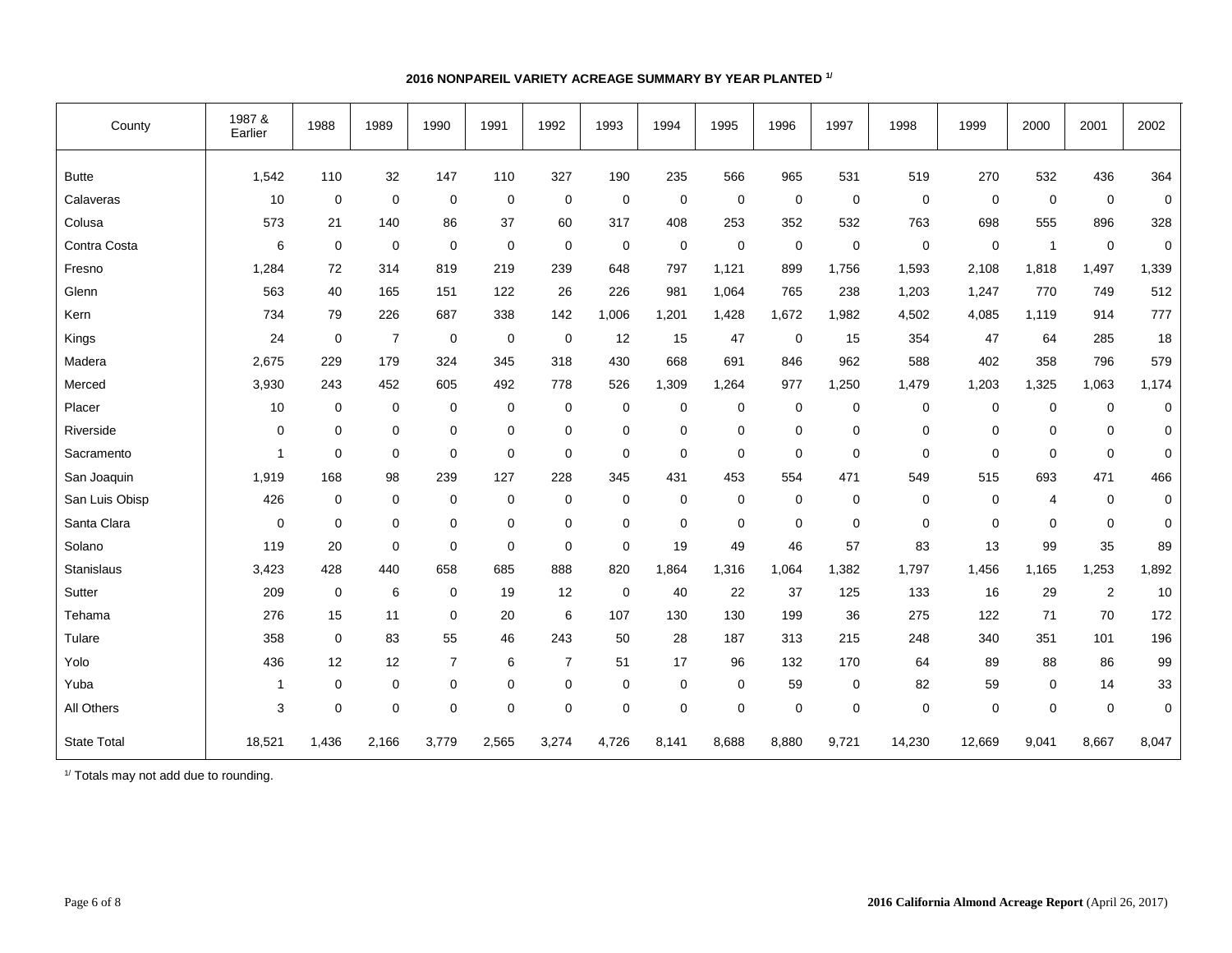| County             | 1987 &<br>Earlier | 1988             | 1989            | 1990           | 1991             | 1992           | 1993        | 1994        | 1995           | 1996        | 1997  | 1998        | 1999             | 2000           | 2001           | 2002        |
|--------------------|-------------------|------------------|-----------------|----------------|------------------|----------------|-------------|-------------|----------------|-------------|-------|-------------|------------------|----------------|----------------|-------------|
| <b>Butte</b>       | 1,542             | 110              | 32              | 147            | 110              | 327            | 190         | 235         | 566            | 965         | 531   | 519         | 270              | 532            | 436            | 364         |
| Calaveras          | 10                | 0                | $\mathbf 0$     | $\mathbf 0$    | 0                | 0              | $\mathbf 0$ | $\mathbf 0$ | $\mathbf 0$    | $\mathbf 0$ | 0     | $\mathbf 0$ | 0                | $\mathbf 0$    | $\pmb{0}$      | $\pmb{0}$   |
| Colusa             | 573               | 21               | 140             | 86             | 37               | 60             | 317         | 408         | 253            | 352         | 532   | 763         | 698              | 555            | 896            | 328         |
| Contra Costa       | 6                 | 0                | $\mathbf 0$     | $\mathbf 0$    | $\mathbf 0$      | $\mathbf 0$    | $\mathbf 0$ | $\mathbf 0$ | $\mathbf 0$    | $\mathbf 0$ | 0     | $\mathbf 0$ | $\mathbf 0$      | $\overline{1}$ | $\pmb{0}$      | $\mathbf 0$ |
| Fresno             | 1,284             | 72               | 314             | 819            | 219              | 239            | 648         | 797         | 1,121          | 899         | 1,756 | 1,593       | 2,108            | 1,818          | 1,497          | 1,339       |
| Glenn              | 563               | 40               | 165             | 151            | 122              | 26             | 226         | 981         | 1,064          | 765         | 238   | 1,203       | 1,247            | 770            | 749            | 512         |
| Kern               | 734               | 79               | 226             | 687            | 338              | 142            | 1,006       | 1,201       | 1,428          | 1,672       | 1,982 | 4,502       | 4,085            | 1,119          | 914            | 777         |
| Kings              | 24                | 0                | $\overline{7}$  | $\mathbf 0$    | $\mathbf 0$      | $\mathbf 0$    | 12          | 15          | 47             | $\mathbf 0$ | 15    | 354         | 47               | 64             | 285            | 18          |
| Madera             | 2,675             | 229              | 179             | 324            | 345              | 318            | 430         | 668         | 691            | 846         | 962   | 588         | 402              | 358            | 796            | 579         |
| Merced             | 3,930             | 243              | 452             | 605            | 492              | 778            | 526         | 1,309       | 1,264          | 977         | 1,250 | 1,479       | 1,203            | 1,325          | 1,063          | 1,174       |
| Placer             | 10                | 0                | $\mathbf 0$     | 0              | $\mathbf 0$      | 0              | $\mathbf 0$ | $\mathbf 0$ | $\mathbf 0$    | $\mathbf 0$ | 0     | $\mathbf 0$ | 0                | $\mathbf 0$    | 0              | $\mathbf 0$ |
| Riverside          | 0                 | $\mathbf 0$      | $\mathbf 0$     | $\mathbf 0$    | 0                | 0              | $\mathbf 0$ | $\mathbf 0$ | $\mathbf 0$    | $\mathbf 0$ | 0     | $\mathbf 0$ | 0                | $\mathbf 0$    | $\mathbf 0$    | 0           |
| Sacramento         | 1                 | 0                | $\mathbf 0$     | $\mathbf 0$    | $\mathbf 0$      | $\mathbf 0$    | $\mathbf 0$ | $\mathbf 0$ | $\mathbf 0$    | $\mathbf 0$ | 0     | $\mathbf 0$ | $\mathbf 0$      | $\mathbf 0$    | $\mathbf 0$    | 0           |
| San Joaquin        | 1,919             | 168              | 98              | 239            | 127              | 228            | 345         | 431         | 453            | 554         | 471   | 549         | 515              | 693            | 471            | 466         |
| San Luis Obisp     | 426               | $\mathbf 0$      | $\mathbf 0$     | $\mathbf 0$    | 0                | $\mathbf 0$    | $\mathbf 0$ | $\Omega$    | $\Omega$       | 0           | 0     | $\mathbf 0$ | $\mathbf 0$      | $\overline{4}$ | $\mathbf 0$    | 0           |
| Santa Clara        | 0                 | 0                | $\pmb{0}$       | $\mathbf 0$    | 0                | 0              | $\mathbf 0$ | $\mathbf 0$ | $\mathbf 0$    | $\mathbf 0$ | 0     | $\mathbf 0$ | $\boldsymbol{0}$ | $\mathbf 0$    | $\mathbf 0$    | 0           |
| Solano             | 119               | 20               | $\mathbf 0$     | $\mathbf 0$    | $\mathbf 0$      | $\mathbf 0$    | 0           | 19          | 49             | 46          | 57    | 83          | 13               | 99             | 35             | 89          |
| Stanislaus         | 3,423             | 428              | 440             | 658            | 685              | 888            | 820         | 1,864       | 1,316          | 1,064       | 1,382 | 1,797       | 1,456            | 1,165          | 1,253          | 1,892       |
| Sutter             | 209               | $\boldsymbol{0}$ | $6\phantom{1}6$ | $\mathbf 0$    | 19               | 12             | $\mathbf 0$ | 40          | 22             | 37          | 125   | 133         | 16               | 29             | $\overline{2}$ | 10          |
| Tehama             | 276               | 15               | 11              | $\mathbf 0$    | 20               | 6              | 107         | 130         | 130            | 199         | 36    | 275         | 122              | 71             | 70             | 172         |
| Tulare             | 358               | $\mathbf 0$      | 83              | 55             | 46               | 243            | 50          | 28          | 187            | 313         | 215   | 248         | 340              | 351            | 101            | 196         |
| Yolo               | 436               | 12               | 12              | $\overline{7}$ | 6                | $\overline{7}$ | 51          | 17          | 96             | 132         | 170   | 64          | 89               | 88             | 86             | 99          |
| Yuba               | 1                 | $\mathbf 0$      | $\mathbf 0$     | $\mathbf 0$    | $\mathbf 0$      | $\mathbf 0$    | $\mathbf 0$ | $\mathbf 0$ | $\mathbf 0$    | 59          | 0     | 82          | 59               | $\mathbf 0$    | 14             | 33          |
| All Others         | 3                 | $\mathbf 0$      | $\mathbf 0$     | $\mathbf 0$    | $\boldsymbol{0}$ | $\mathbf 0$    | 0           | $\mathbf 0$ | $\overline{0}$ | $\mathbf 0$ | 0     | $\mathbf 0$ | $\mathbf 0$      | $\mathbf 0$    | $\mathbf 0$    | 0           |
| <b>State Total</b> | 18,521            | 1,436            | 2,166           | 3,779          | 2,565            | 3,274          | 4,726       | 8,141       | 8,688          | 8,880       | 9,721 | 14,230      | 12,669           | 9,041          | 8,667          | 8,047       |

## **2016 NONPAREIL VARIETY ACREAGE SUMMARY BY YEAR PLANTED 1/**

1/ Totals may not add due to rounding.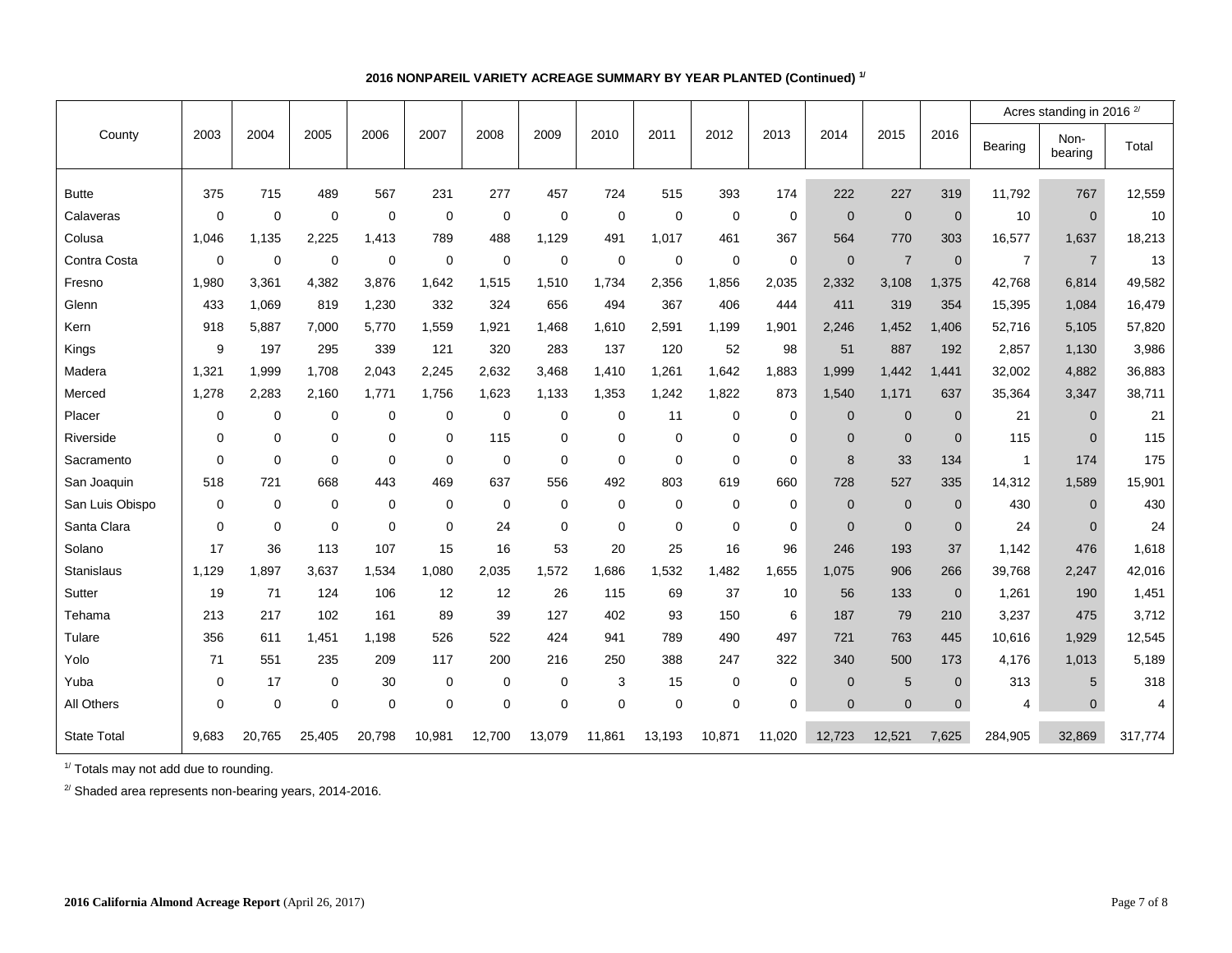|                    |          |             |             |             |             |             |             |             |             |             |             |              |                |                |                | Acres standing in 2016 <sup>2/</sup> |         |
|--------------------|----------|-------------|-------------|-------------|-------------|-------------|-------------|-------------|-------------|-------------|-------------|--------------|----------------|----------------|----------------|--------------------------------------|---------|
| County             | 2003     | 2004        | 2005        | 2006        | 2007        | 2008        | 2009        | 2010        | 2011        | 2012        | 2013        | 2014         | 2015           | 2016           | Bearing        | Non-<br>bearing                      | Total   |
| <b>Butte</b>       | 375      | 715         | 489         | 567         | 231         | 277         | 457         | 724         | 515         | 393         | 174         | 222          | 227            | 319            | 11,792         | 767                                  | 12,559  |
| Calaveras          | $\Omega$ | $\Omega$    | $\mathbf 0$ | 0           | $\mathbf 0$ | $\mathbf 0$ | $\Omega$    | $\mathbf 0$ | $\Omega$    | $\Omega$    | $\mathbf 0$ | $\mathbf{0}$ | $\mathbf{0}$   | $\mathbf{0}$   | 10             | $\mathbf{0}$                         | 10      |
| Colusa             | 1,046    | 1,135       | 2,225       | 1,413       | 789         | 488         | 1,129       | 491         | 1,017       | 461         | 367         | 564          | 770            | 303            | 16,577         | 1,637                                | 18,213  |
| Contra Costa       | 0        | $\mathbf 0$ | $\mathbf 0$ | $\mathbf 0$ | $\mathbf 0$ | $\mathbf 0$ | $\mathbf 0$ | $\mathbf 0$ | $\mathbf 0$ | $\mathbf 0$ | $\mathbf 0$ | $\mathbf{0}$ | $\overline{7}$ | $\mathbf 0$    | $\overline{7}$ | $\overline{7}$                       | 13      |
| Fresno             | 1,980    | 3,361       | 4,382       | 3,876       | 1,642       | 1,515       | 1,510       | 1,734       | 2,356       | 1,856       | 2,035       | 2,332        | 3,108          | 1,375          | 42,768         | 6,814                                | 49,582  |
| Glenn              | 433      | 1,069       | 819         | 1,230       | 332         | 324         | 656         | 494         | 367         | 406         | 444         | 411          | 319            | 354            | 15,395         | 1,084                                | 16,479  |
| Kern               | 918      | 5.887       | 7,000       | 5.770       | 1.559       | 1.921       | 1,468       | 1,610       | 2,591       | 1,199       | 1,901       | 2,246        | 1,452          | 1,406          | 52,716         | 5,105                                | 57,820  |
| Kings              | 9        | 197         | 295         | 339         | 121         | 320         | 283         | 137         | 120         | 52          | 98          | 51           | 887            | 192            | 2,857          | 1,130                                | 3,986   |
| Madera             | 1,321    | 1,999       | 1.708       | 2.043       | 2,245       | 2,632       | 3.468       | 1,410       | 1,261       | 1,642       | 1,883       | 1,999        | 1,442          | 1,441          | 32,002         | 4,882                                | 36,883  |
| Merced             | 1,278    | 2,283       | 2,160       | 1,771       | 1,756       | 1,623       | 1,133       | 1,353       | 1,242       | 1,822       | 873         | 1,540        | 1,171          | 637            | 35,364         | 3,347                                | 38,711  |
| Placer             | 0        | 0           | $\mathbf 0$ | 0           | $\mathbf 0$ | $\mathbf 0$ | $\mathbf 0$ | $\mathbf 0$ | 11          | $\mathbf 0$ | $\mathbf 0$ | $\mathbf{0}$ | $\mathbf{0}$   | $\mathbf 0$    | 21             | $\mathbf{0}$                         | 21      |
| Riverside          | 0        | 0           | $\mathbf 0$ | 0           | $\mathbf 0$ | 115         | $\mathbf 0$ | $\mathbf 0$ | $\mathbf 0$ | $\mathbf 0$ | $\mathbf 0$ | $\mathbf{0}$ | $\mathbf{0}$   | $\mathbf{0}$   | 115            | $\mathbf{0}$                         | 115     |
| Sacramento         | 0        | 0           | $\mathbf 0$ | $\mathbf 0$ | $\mathbf 0$ | $\mathbf 0$ | 0           | $\Omega$    | $\Omega$    | $\Omega$    | $\mathbf 0$ | 8            | 33             | 134            | $\mathbf{1}$   | 174                                  | 175     |
| San Joaquin        | 518      | 721         | 668         | 443         | 469         | 637         | 556         | 492         | 803         | 619         | 660         | 728          | 527            | 335            | 14,312         | 1.589                                | 15,901  |
| San Luis Obispo    | 0        | 0           | $\mathbf 0$ | 0           | $\mathbf 0$ | $\mathbf 0$ | $\mathbf 0$ | $\mathbf 0$ | $\mathbf 0$ | $\mathbf 0$ | $\mathbf 0$ | $\mathbf{0}$ | $\mathbf 0$    | $\mathbf{0}$   | 430            | $\Omega$                             | 430     |
| Santa Clara        | $\Omega$ | $\Omega$    | $\mathbf 0$ | $\mathbf 0$ | $\mathbf 0$ | 24          | $\Omega$    | $\Omega$    | $\Omega$    | $\Omega$    | $\Omega$    | $\Omega$     | $\Omega$       | $\overline{0}$ | 24             | $\Omega$                             | 24      |
| Solano             | 17       | 36          | 113         | 107         | 15          | 16          | 53          | 20          | 25          | 16          | 96          | 246          | 193            | 37             | 1,142          | 476                                  | 1,618   |
| Stanislaus         | 1,129    | 1,897       | 3,637       | 1,534       | 1,080       | 2,035       | 1,572       | 1,686       | 1,532       | 1,482       | 1,655       | 1,075        | 906            | 266            | 39,768         | 2,247                                | 42,016  |
| Sutter             | 19       | 71          | 124         | 106         | 12          | 12          | 26          | 115         | 69          | 37          | 10          | 56           | 133            | $\mathbf 0$    | 1,261          | 190                                  | 1,451   |
| Tehama             | 213      | 217         | 102         | 161         | 89          | 39          | 127         | 402         | 93          | 150         | 6           | 187          | 79             | 210            | 3,237          | 475                                  | 3,712   |
| Tulare             | 356      | 611         | 1.451       | 1.198       | 526         | 522         | 424         | 941         | 789         | 490         | 497         | 721          | 763            | 445            | 10,616         | 1.929                                | 12,545  |
| Yolo               | 71       | 551         | 235         | 209         | 117         | 200         | 216         | 250         | 388         | 247         | 322         | 340          | 500            | 173            | 4,176          | 1,013                                | 5,189   |
| Yuba               | 0        | 17          | $\mathbf 0$ | 30          | $\mathbf 0$ | $\mathbf 0$ | $\mathbf 0$ | 3           | 15          | $\Omega$    | $\mathbf 0$ | $\Omega$     | 5              | $\mathbf 0$    | 313            | 5                                    | 318     |
| All Others         | 0        | $\mathbf 0$ | $\mathbf 0$ | 0           | $\mathbf 0$ | 0           | $\mathbf 0$ | $\mathbf 0$ | $\mathbf 0$ | $\mathbf 0$ | $\mathbf 0$ | $\mathbf{0}$ | $\mathbf{0}$   | $\mathbf{0}$   | 4              | $\overline{0}$                       | 4       |
| <b>State Total</b> | 9.683    | 20.765      | 25,405      | 20.798      | 10.981      | 12,700      | 13,079      | 11.861      | 13,193      | 10.871      | 11,020      | 12,723       | 12.521         | 7,625          | 284,905        | 32.869                               | 317,774 |

## **2016 NONPAREIL VARIETY ACREAGE SUMMARY BY YEAR PLANTED (Continued) 1/**

<sup>1/</sup> Totals may not add due to rounding.

<sup>2/</sup> Shaded area represents non-bearing years, 2014-2016.